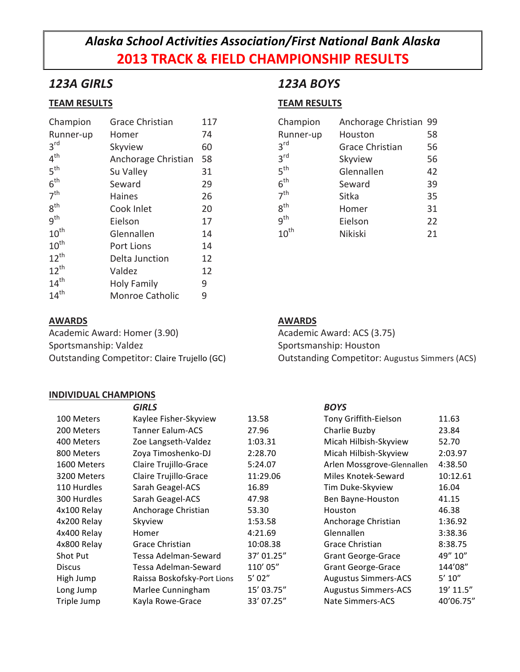# *Alaska School Activities Association/First National Bank Alaska* **2013 TRACK & FIELD CHAMPIONSHIP RESULTS**

# *123A GIRLS*

### **TEAM RESULTS**

| Champion         | <b>Grace Christian</b> | 117 |
|------------------|------------------------|-----|
| Runner-up        | Homer                  | 74  |
| $3^{\text{rd}}$  | Skyview                | 60  |
| 4 <sup>th</sup>  | Anchorage Christian    | 58  |
| 5 <sup>th</sup>  | Su Valley              | 31  |
| 6 <sup>th</sup>  | Seward                 | 29  |
| 7 <sup>th</sup>  | <b>Haines</b>          | 26  |
| $8^{\text{th}}$  | Cook Inlet             | 20  |
| 9 <sup>th</sup>  | Eielson                | 17  |
| $10^{\text{th}}$ | Glennallen             | 14  |
| $10^{\text{th}}$ | <b>Port Lions</b>      | 14  |
| $12^{th}$        | Delta Junction         | 12  |
| $12^{th}$        | Valdez                 | 12  |
| $14^{\text{th}}$ | Holy Family            | 9   |
| $14^{th}$        | <b>Monroe Catholic</b> | 9   |

### **AWARDS**

Academic Award: Homer (3.90) Sportsmanship: Valdez Outstanding Competitor: Claire Trujello (GC)

### **INDIVIDUAL CHAMPIONS**

## *123A BOYS*

### **TEAM RESULTS**

| Champion         | Anchorage Christian 99 |    |
|------------------|------------------------|----|
| Runner-up        | Houston                | 58 |
| 3 <sup>rd</sup>  | <b>Grace Christian</b> | 56 |
| 3 <sup>rd</sup>  | Skyview                | 56 |
| 5 <sup>th</sup>  | Glennallen             | 42 |
| 6 <sup>th</sup>  | Seward                 | 39 |
| 7 <sup>th</sup>  | Sitka                  | 35 |
| $8^{\text{th}}$  | Homer                  | 31 |
| q <sup>th</sup>  | Eielson                | 22 |
| $10^{\text{th}}$ | <b>Nikiski</b>         | 21 |

### **AWARDS**

Academic Award: ACS (3.75) Sportsmanship: Houston Outstanding Competitor: Augustus Simmers (ACS)

| <b>GIRLS</b>                |            | <b>BOYS</b>                 |             |
|-----------------------------|------------|-----------------------------|-------------|
| Kaylee Fisher-Skyview       | 13.58      | Tony Griffith-Eielson       | 11.63       |
| Tanner Ealum-ACS            | 27.96      | Charlie Buzby               | 23.84       |
| Zoe Langseth-Valdez         | 1:03.31    | Micah Hilbish-Skyview       | 52.70       |
| Zoya Timoshenko-DJ          | 2:28.70    | Micah Hilbish-Skyview       | 2:03.97     |
| Claire Trujillo-Grace       | 5:24.07    | Arlen Mossgrove-Glennallen  | 4:38.50     |
| Claire Trujillo-Grace       | 11:29.06   | Miles Knotek-Seward         | 10:12.61    |
| Sarah Geagel-ACS            | 16.89      | Tim Duke-Skyview            | 16.04       |
| Sarah Geagel-ACS            | 47.98      | Ben Bayne-Houston           | 41.15       |
| Anchorage Christian         | 53.30      | Houston                     | 46.38       |
| Skyview                     | 1:53.58    | Anchorage Christian         | 1:36.92     |
| Homer                       | 4:21.69    | Glennallen                  | 3:38.36     |
| Grace Christian             | 10:08.38   | Grace Christian             | 8:38.75     |
| Tessa Adelman-Seward        | 37' 01.25" | <b>Grant George-Grace</b>   | 49" 10"     |
| Tessa Adelman-Seward        | 110' 05"   | Grant George-Grace          | 144'08"     |
| Raissa Boskofsky-Port Lions | 5'02''     | <b>Augustus Simmers-ACS</b> | $5'$ $10''$ |
| Marlee Cunningham           | 15' 03.75" | <b>Augustus Simmers-ACS</b> | 19' 11.5"   |
| Kayla Rowe-Grace            | 33' 07.25" | <b>Nate Simmers-ACS</b>     | 40'06.75"   |
|                             |            |                             |             |